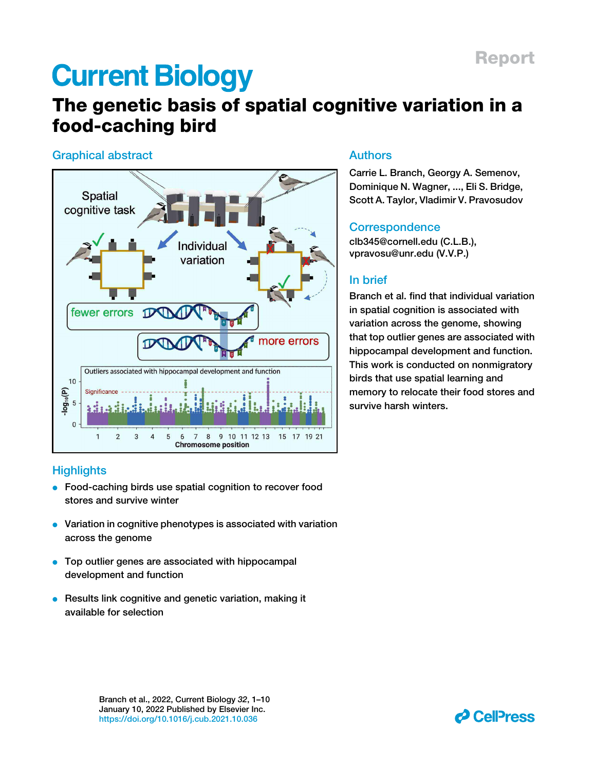# **Current Biology**

# The genetic basis of spatial cognitive variation in a food-caching bird

### Graphical abstract



### Dominique N. Wagner, ..., Eli S. Bridge, Scott A. Taylor, Vladimir V. Pravosudov

Authors

### **Correspondence**

clb345@cornell.edu (C.L.B.), vpravosu@unr.edu (V.V.P.)

Carrie L. Branch, Georgy A. Semenov,

### In brief

Branch et al. find that individual variation in spatial cognition is associated with variation across the genome, showing that top outlier genes are associated with hippocampal development and function. This work is conducted on nonmigratory birds that use spatial learning and memory to relocate their food stores and survive harsh winters.

### **Highlights**

- Food-caching birds use spatial cognition to recover food stores and survive winter
- $\bullet$  Variation in cognitive phenotypes is associated with variation across the genome
- Top outlier genes are associated with hippocampal development and function
- **e** Results link cognitive and genetic variation, making it available for selection

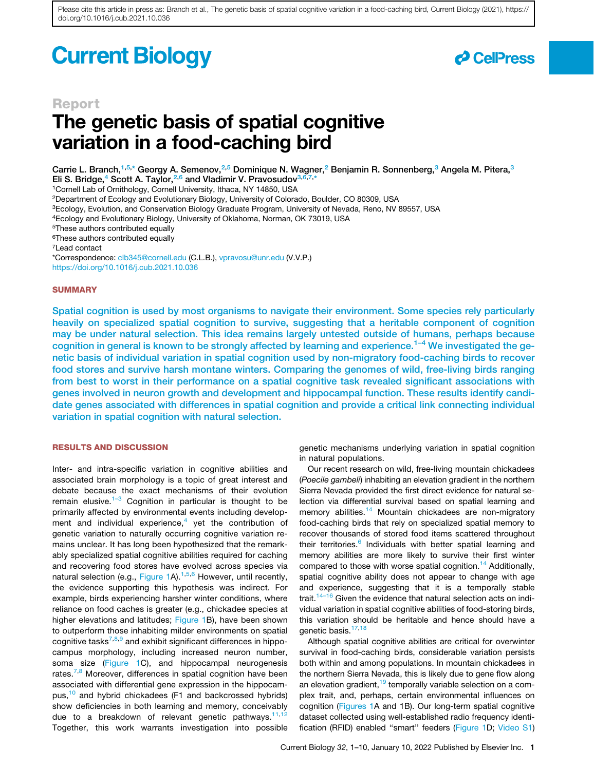# **Current Biology**



### Report

# The genetic basis of spatial cognitive variation in a food-caching bird

Carrie L. Branch,<sup>1,5,\*</sup> Georgy A. Semenov,<sup>2,5</sup> Dominique N. Wagner,<sup>2</sup> Benjamin R. Sonnenberg,<sup>3</sup> Angela M. Pitera,<sup>3</sup> Eli S. Bridge,<sup>4</sup> Scott A. Taylor,<sup>2,6</sup> and Vladimir V. Pravosudov<sup>3,6,7,\*</sup>

<sup>1</sup>Cornell Lab of Ornithology, Cornell University, Ithaca, NY 14850, USA

<sup>2</sup>Department of Ecology and Evolutionary Biology, University of Colorado, Boulder, CO 80309, USA

<sup>3</sup>Ecology, Evolution, and Conservation Biology Graduate Program, University of Nevada, Reno, NV 89557, USA

<sup>4</sup>Ecology and Evolutionary Biology, University of Oklahoma, Norman, OK 73019, USA

<sup>5</sup>These authors contributed equally

<sup>6</sup>These authors contributed equally

<sup>7</sup>Lead contact

\*Correspondence: clb345@cornell.edu (C.L.B.), vpravosu@unr.edu (V.V.P.) https://doi.org/10.1016/j.cub.2021.10.036

### **SUMMARY**

Spatial cognition is used by most organisms to navigate their environment. Some species rely particularly heavily on specialized spatial cognition to survive, suggesting that a heritable component of cognition may be under natural selection. This idea remains largely untested outside of humans, perhaps because cognition in general is known to be strongly affected by learning and experience.<sup>1–4</sup> We investigated the genetic basis of individual variation in spatial cognition used by non-migratory food-caching birds to recover food stores and survive harsh montane winters. Comparing the genomes of wild, free-living birds ranging from best to worst in their performance on a spatial cognitive task revealed significant associations with genes involved in neuron growth and development and hippocampal function. These results identify candidate genes associated with differences in spatial cognition and provide a critical link connecting individual variation in spatial cognition with natural selection.

### RESULTS AND DISCUSSION

Inter- and intra-specific variation in cognitive abilities and associated brain morphology is a topic of great interest and debate because the exact mechanisms of their evolution remain elusive.<sup>1–3</sup> Cognition in particular is thought to be primarily affected by environmental events including development and individual experience, $4$  yet the contribution of genetic variation to naturally occurring cognitive variation remains unclear. It has long been hypothesized that the remarkably specialized spatial cognitive abilities required for caching and recovering food stores have evolved across species via natural selection (e.g., Figure 1A).<sup>1,5,6</sup> However, until recently, the evidence supporting this hypothesis was indirect. For example, birds experiencing harsher winter conditions, where reliance on food caches is greater (e.g., chickadee species at higher elevations and latitudes; Figure 1B), have been shown to outperform those inhabiting milder environments on spatial cognitive tasks<sup>7,8,9</sup> and exhibit significant differences in hippocampus morphology, including increased neuron number, soma size (Figure 1C), and hippocampal neurogenesis rates.<sup>7,8</sup> Moreover, differences in spatial cognition have been associated with differential gene expression in the hippocampus,<sup>10</sup> and hybrid chickadees (F1 and backcrossed hybrids) show deficiencies in both learning and memory, conceivably due to a breakdown of relevant genetic pathways.<sup>11,1</sup> Together, this work warrants investigation into possible

genetic mechanisms underlying variation in spatial cognition in natural populations.

Our recent research on wild, free-living mountain chickadees (*Poecile gambeli*) inhabiting an elevation gradient in the northern Sierra Nevada provided the first direct evidence for natural selection via differential survival based on spatial learning and memory abilities.<sup>14</sup> Mountain chickadees are non-migratory food-caching birds that rely on specialized spatial memory to recover thousands of stored food items scattered throughout their territories.<sup>6</sup> Individuals with better spatial learning and memory abilities are more likely to survive their first winter compared to those with worse spatial cognition.<sup>14</sup> Additionally, spatial cognitive ability does not appear to change with age and experience, suggesting that it is a temporally stable trait.<sup>14–16</sup> Given the evidence that natural selection acts on individual variation in spatial cognitive abilities of food-storing birds, this variation should be heritable and hence should have a genetic basis.<sup>17,18</sup>

Although spatial cognitive abilities are critical for overwinter survival in food-caching birds, considerable variation persists both within and among populations. In mountain chickadees in the northern Sierra Nevada, this is likely due to gene flow along an elevation gradient,<sup>19</sup> temporally variable selection on a complex trait, and, perhaps, certain environmental influences on cognition (Figures 1A and 1B). Our long-term spatial cognitive dataset collected using well-established radio frequency identification (RFID) enabled ''smart'' feeders (Figure 1D; Video S1)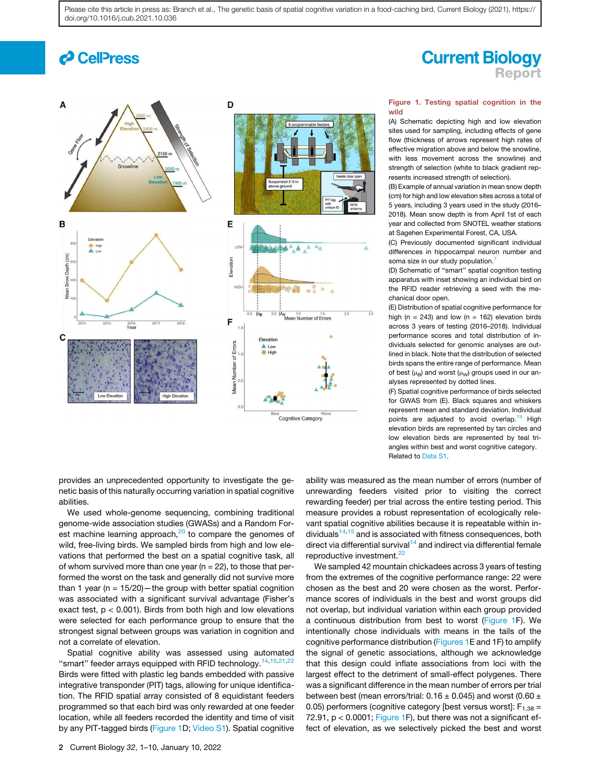# *d* Cell<sup>p</sup>ress





### **Current Biology** Report

### Figure 1. Testing spatial cognition in the wild

(A) Schematic depicting high and low elevation sites used for sampling, including effects of gene flow (thickness of arrows represent high rates of effective migration above and below the snowline, with less movement across the snowline) and strength of selection (white to black gradient represents increased strength of selection).

(B) Example of annual variation in mean snow depth (cm) for high and low elevation sites across a total of 5 years, including 3 years used in the study (2016– 2018). Mean snow depth is from April 1st of each year and collected from SNOTEL weather stations at Sagehen Experimental Forest, CA, USA.

(C) Previously documented significant individual differences in hippocampal neuron number and soma size in our study population.<sup>7</sup>

(D) Schematic of ''smart'' spatial cognition testing apparatus with inset showing an individual bird on the RFID reader retrieving a seed with the mechanical door open.

(E) Distribution of spatial cognitive performance for high (n = 243) and low (n = 162) elevation birds across 3 years of testing (2016–2018). Individual performance scores and total distribution of individuals selected for genomic analyses are outlined in black. Note that the distribution of selected birds spans the entire range of performance. Mean of best ( $\mu_B$ ) and worst ( $\mu_W$ ) groups used in our analyses represented by dotted lines.

(F) Spatial cognitive performance of birds selected for GWAS from (E). Black squares and whiskers represent mean and standard deviation. Individual points are adjusted to avoid overlap.<sup>13</sup> High elevation birds are represented by tan circles and low elevation birds are represented by teal triangles within best and worst cognitive category. Related to Data S1.

provides an unprecedented opportunity to investigate the genetic basis of this naturally occurring variation in spatial cognitive abilities.

We used whole-genome sequencing, combining traditional genome-wide association studies (GWASs) and a Random Forest machine learning approach, $20$  to compare the genomes of wild, free-living birds. We sampled birds from high and low elevations that performed the best on a spatial cognitive task, all of whom survived more than one year ( $n = 22$ ), to those that performed the worst on the task and generally did not survive more than 1 year ( $n = 15/20$ ) — the group with better spatial cognition was associated with a significant survival advantage (Fisher's exact test, p < 0.001). Birds from both high and low elevations were selected for each performance group to ensure that the strongest signal between groups was variation in cognition and not a correlate of elevation.

Spatial cognitive ability was assessed using automated "smart" feeder arrays equipped with RFID technology.<sup>14,15,21,22</sup> Birds were fitted with plastic leg bands embedded with passive integrative transponder (PIT) tags, allowing for unique identification. The RFID spatial array consisted of 8 equidistant feeders programmed so that each bird was only rewarded at one feeder location, while all feeders recorded the identity and time of visit by any PIT-tagged birds (Figure 1D; Video S1). Spatial cognitive

ability was measured as the mean number of errors (number of unrewarding feeders visited prior to visiting the correct rewarding feeder) per trial across the entire testing period. This measure provides a robust representation of ecologically relevant spatial cognitive abilities because it is repeatable within individuals<sup>14,15</sup> and is associated with fitness consequences, both direct via differential survival $14$  and indirect via differential female reproductive investment.<sup>22</sup>

We sampled 42 mountain chickadees across 3 years of testing from the extremes of the cognitive performance range: 22 were chosen as the best and 20 were chosen as the worst. Performance scores of individuals in the best and worst groups did not overlap, but individual variation within each group provided a continuous distribution from best to worst (Figure 1F). We intentionally chose individuals with means in the tails of the cognitive performance distribution (Figures 1E and 1F) to amplify the signal of genetic associations, although we acknowledge that this design could inflate associations from loci with the largest effect to the detriment of small-effect polygenes. There was a significant difference in the mean number of errors per trial between best (mean errors/trial:  $0.16 \pm 0.045$ ) and worst (0.60  $\pm$ 0.05) performers (cognitive category [best versus worst]:  $F_{1,38} =$ 72.91,  $p < 0.0001$ ; Figure 1F), but there was not a significant effect of elevation, as we selectively picked the best and worst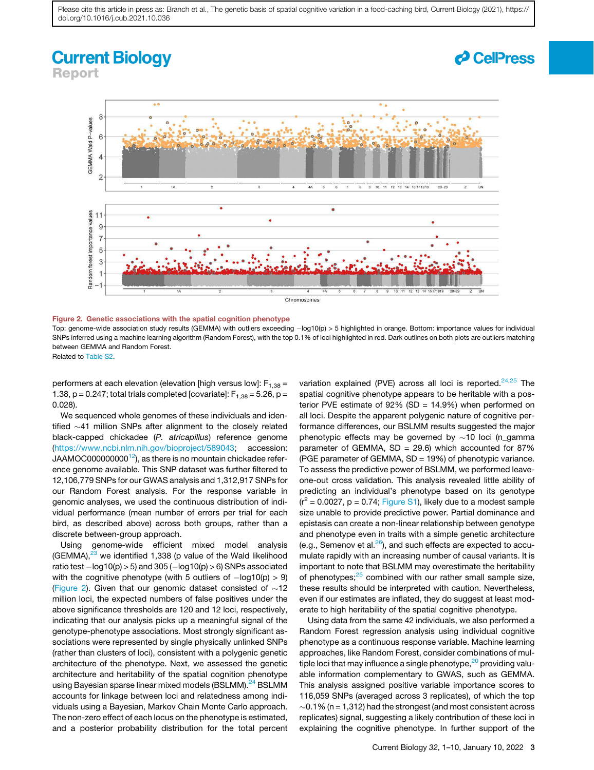### **Current Biology** Report

*d* CellPress



#### Figure 2. Genetic associations with the spatial cognition phenotype

Top: genome-wide association study results (GEMMA) with outliers exceeding -log10(p) > 5 highlighted in orange. Bottom: importance values for individual SNPs inferred using a machine learning algorithm (Random Forest), with the top 0.1% of loci highlighted in red. Dark outlines on both plots are outliers matching between GEMMA and Random Forest.

Related to Table S2.

performers at each elevation (elevation [high versus low]:  $F_{1,38} =$ 1.38,  $p = 0.247$ ; total trials completed [covariate]:  $F_{1,38} = 5.26$ ,  $p =$ 0.028).

We sequenced whole genomes of these individuals and identified  $\sim$ 41 million SNPs after alignment to the closely related black-capped chickadee (*P. atricapillus*) reference genome (https://www.ncbi.nlm.nih.gov/bioproject/589043; accession: JAAMOC000000000<sup>12</sup>), as there is no mountain chickadee reference genome available. This SNP dataset was further filtered to 12,106,779 SNPs for our GWAS analysis and 1,312,917 SNPs for our Random Forest analysis. For the response variable in genomic analyses, we used the continuous distribution of individual performance (mean number of errors per trial for each bird, as described above) across both groups, rather than a discrete between-group approach.

Using genome-wide efficient mixed model analysis (GEMMA), $^{23}$  we identified 1,338 (p value of the Wald likelihood ratio test  $-\log 10(p)$  > 5) and 305 ( $-\log 10(p)$  > 6) SNPs associated with the cognitive phenotype (with 5 outliers of  $-\log 10(p) > 9$ ) (Figure 2). Given that our genomic dataset consisted of  $\sim$ 12 million loci, the expected numbers of false positives under the above significance thresholds are 120 and 12 loci, respectively, indicating that our analysis picks up a meaningful signal of the genotype-phenotype associations. Most strongly significant associations were represented by single physically unlinked SNPs (rather than clusters of loci), consistent with a polygenic genetic architecture of the phenotype. Next, we assessed the genetic architecture and heritability of the spatial cognition phenotype using Bayesian sparse linear mixed models (BSLMM).<sup>24</sup> BSLMM accounts for linkage between loci and relatedness among individuals using a Bayesian, Markov Chain Monte Carlo approach. The non-zero effect of each locus on the phenotype is estimated, and a posterior probability distribution for the total percent variation explained (PVE) across all loci is reported. $24,25$  The spatial cognitive phenotype appears to be heritable with a posterior PVE estimate of 92% (SD = 14.9%) when performed on all loci. Despite the apparent polygenic nature of cognitive performance differences, our BSLMM results suggested the major phenotypic effects may be governed by  $\sim$ 10 loci (n\_gamma parameter of GEMMA,  $SD = 29.6$ ) which accounted for 87% (PGE parameter of GEMMA, SD = 19%) of phenotypic variance. To assess the predictive power of BSLMM, we performed leaveone-out cross validation. This analysis revealed little ability of predicting an individual's phenotype based on its genotype  $(r^2 = 0.0027, p = 0.74;$  Figure S1), likely due to a modest sample size unable to provide predictive power. Partial dominance and epistasis can create a non-linear relationship between genotype and phenotype even in traits with a simple genetic architecture (e.g., Semenov et al. $^{26}$ ), and such effects are expected to accumulate rapidly with an increasing number of causal variants. It is important to note that BSLMM may overestimate the heritability of phenotypes; $25$  combined with our rather small sample size, these results should be interpreted with caution. Nevertheless, even if our estimates are inflated, they do suggest at least moderate to high heritability of the spatial cognitive phenotype.

Using data from the same 42 individuals, we also performed a Random Forest regression analysis using individual cognitive phenotype as a continuous response variable. Machine learning approaches, like Random Forest, consider combinations of multiple loci that may influence a single phenotype, $20$  providing valuable information complementary to GWAS, such as GEMMA. This analysis assigned positive variable importance scores to 116,059 SNPs (averaged across 3 replicates), of which the top  $\sim$ 0.1% (n = 1,312) had the strongest (and most consistent across replicates) signal, suggesting a likely contribution of these loci in explaining the cognitive phenotype. In further support of the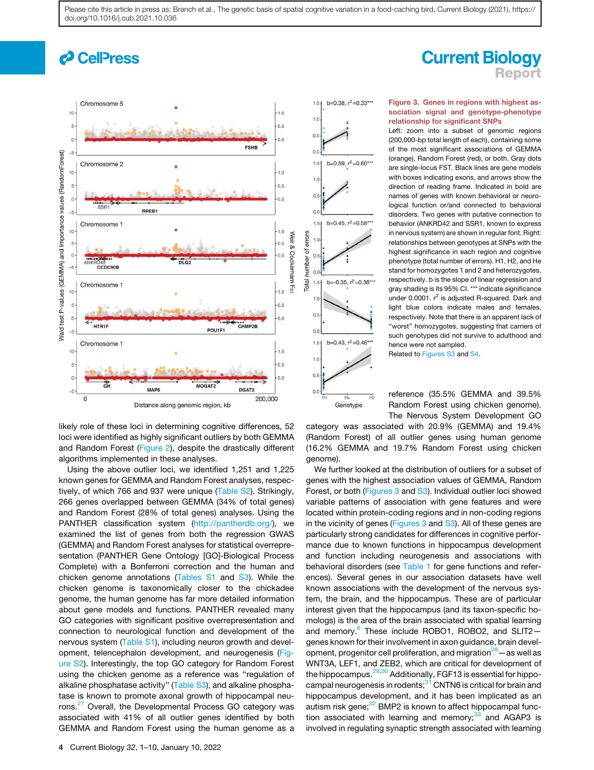# *c* CellPress



likely role of these loci in determining cognitive differences, 52 loci were identified as highly significant outliers by both GEMMA and Random Forest (Figure 2), despite the drastically different algorithms implemented in these analyses.

Using the above outlier loci, we identified 1,251 and 1,225 known genes for GEMMA and Random Forest analyses, respectively, of which 766 and 937 were unique (Table S2). Strikingly, 266 genes overlapped between GEMMA (34% of total genes) and Random Forest (28% of total genes) analyses. Using the PANTHER classification system (http://pantherdb.org/), we examined the list of genes from both the regression GWAS (GEMMA) and Random Forest analyses for statistical overrepresentation (PANTHER Gene Ontology [GO]-Biological Process Complete) with a Bonferroni correction and the human and chicken genome annotations (Tables S1 and S3). While the chicken genome is taxonomically closer to the chickadee genome, the human genome has far more detailed information about gene models and functions. PANTHER revealed many GO categories with significant positive overrepresentation and connection to neurological function and development of the nervous system (Table S1), including neuron growth and development, telencephalon development, and neurogenesis (Figure S2). Interestingly, the top GO category for Random Forest using the chicken genome as a reference was ''regulation of alkaline phosphatase activity" (Table S3), and alkaline phosphatase is known to promote axonal growth of hippocampal neurons.<sup>27</sup> Overall, the Developmental Process GO category was associated with 41% of all outlier genes identified by both GEMMA and Random Forest using the human genome as a

# **Current Biology** Report

### Figure 3. Genes in regions with highest association signal and genotype-phenotype relationship for significant SNPs

Left: zoom into a subset of genomic regions (200,000-bp total length of each), containing some of the most significant associations of GEMMA (orange), Random Forest (red), or both. Gray dots are single-locus FST. Black lines are gene models with boxes indicating exons, and arrows show the direction of reading frame. Indicated in bold are names of genes with known behavioral or neurological function or/and connected to behavioral disorders. Two genes with putative connection to behavior (ANKRD42 and SSR1, known to express in nervous system) are shown in regular font. Right: relationships between genotypes at SNPs with the highest significance in each region and cognitive phenotype (total number of errors). H1, H2, and He stand for homozygotes 1 and 2 and heterozygotes. respectively. b is the slope of linear regression and gray shading is its 95% CI. \*\*\* indicate significance under 0.0001. r<sup>2</sup> is adjusted R-squared. Dark and light blue colors indicate males and females, respectively. Note that there is an apparent lack of "worst" homozygotes, suggesting that carriers of such genotypes did not survive to adulthood and hence were not sampled.

Related to Figures S3 and S4.

reference (35.5% GEMMA and 39.5% Random Forest using chicken genome). The Nervous System Development GO

category was associated with 20.9% (GEMMA) and 19.4% (Random Forest) of all outlier genes using human genome (16.2% GEMMA and 19.7% Random Forest using chicken genome).

Genotype

We further looked at the distribution of outliers for a subset of genes with the highest association values of GEMMA, Random Forest, or both (Figures 3 and S3). Individual outlier loci showed variable patterns of association with gene features and were located within protein-coding regions and in non-coding regions in the vicinity of genes (Figures 3 and S3). All of these genes are particularly strong candidates for differences in cognitive performance due to known functions in hippocampus development and function including neurogenesis and associations with behavioral disorders (see Table 1 for gene functions and references). Several genes in our association datasets have well known associations with the development of the nervous system, the brain, and the hippocampus. These are of particular interest given that the hippocampus (and its taxon-specific homologs) is the area of the brain associated with spatial learning and memory.<sup>6</sup> These include ROBO1, ROBO2, and SLIT2genes known for their involvement in axon guidance, brain development, progenitor cell proliferation, and migration $28 -$  as well as WNT3A, LEF1, and ZEB2, which are critical for development of the hippocampus.<sup>29,30</sup> Additionally, FGF13 is essential for hippocampal neurogenesis in rodents;<sup>31</sup> CNTN6 is critical for brain and hippocampus development, and it has been implicated as an autism risk gene; $32$  BMP2 is known to affect hippocampal function associated with learning and memory; $33$  and AGAP3 is involved in regulating synaptic strength associated with learning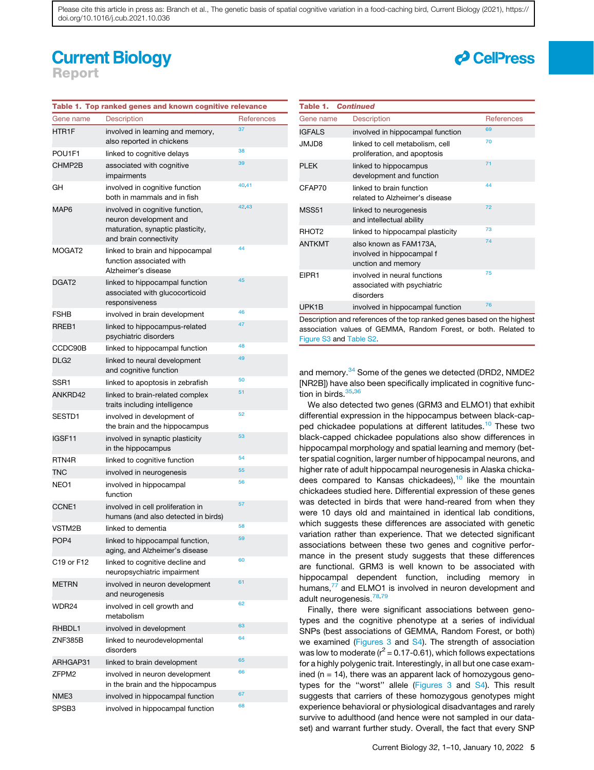### **Current Biology** Report

| Table 1. Top ranked genes and known cognitive relevance |                                                                                                                         |                   |  |  |
|---------------------------------------------------------|-------------------------------------------------------------------------------------------------------------------------|-------------------|--|--|
| Gene name                                               | <b>Description</b>                                                                                                      | <b>References</b> |  |  |
| HTR1F                                                   | involved in learning and memory,<br>also reported in chickens                                                           | 37                |  |  |
| POU1F1                                                  | linked to cognitive delays                                                                                              | 38                |  |  |
| CHMP2B                                                  | associated with cognitive<br>impairments                                                                                | 39                |  |  |
| GН                                                      | involved in cognitive function<br>both in mammals and in fish                                                           | 40,41             |  |  |
| MAP6                                                    | involved in cognitive function,<br>neuron development and<br>maturation, synaptic plasticity,<br>and brain connectivity | 42,43             |  |  |
| MOGAT2                                                  | linked to brain and hippocampal<br>function associated with<br>Alzheimer's disease                                      | 44                |  |  |
| DGAT2                                                   | linked to hippocampal function<br>associated with glucocorticoid<br>responsiveness                                      | 45                |  |  |
| FSHB                                                    | involved in brain development                                                                                           | 46                |  |  |
| RREB1                                                   | linked to hippocampus-related<br>psychiatric disorders                                                                  | 47                |  |  |
| CCDC90B                                                 | linked to hippocampal function                                                                                          | 48                |  |  |
| DLG2                                                    | linked to neural development<br>and cognitive function                                                                  | 49                |  |  |
| SSR1                                                    | linked to apoptosis in zebrafish                                                                                        | 50                |  |  |
| ANKRD42                                                 | linked to brain-related complex<br>traits including intelligence                                                        | 51                |  |  |
| SESTD1                                                  | involved in development of<br>the brain and the hippocampus                                                             | 52                |  |  |
| IGSF11                                                  | involved in synaptic plasticity<br>in the hippocampus                                                                   | 53                |  |  |
| RTN4R                                                   | linked to cognitive function                                                                                            | 54                |  |  |
| TNC                                                     | involved in neurogenesis                                                                                                | 55                |  |  |
| NEO1                                                    | involved in hippocampal<br>function                                                                                     | 56                |  |  |
| CCNE1                                                   | involved in cell proliferation in<br>humans (and also detected in birds)                                                | 57                |  |  |
| VSTM2B                                                  | linked to dementia                                                                                                      | 58                |  |  |
| POP <sub>4</sub>                                        | linked to hippocampal function,<br>aging, and Alzheimer's disease                                                       | 59                |  |  |
| C19 or F12                                              | linked to cognitive decline and<br>neuropsychiatric impairment                                                          | 60                |  |  |
| METRN                                                   | involved in neuron development<br>and neurogenesis                                                                      | 61                |  |  |
| WDR24                                                   | involved in cell growth and<br>metabolism                                                                               | 62                |  |  |
| RHBDL1                                                  | involved in development                                                                                                 | 63                |  |  |
| ZNF385B                                                 | linked to neurodevelopmental<br>disorders                                                                               | 64                |  |  |
| ARHGAP31                                                | linked to brain development                                                                                             | 65                |  |  |
| ZFPM2                                                   | involved in neuron development<br>in the brain and the hippocampus                                                      | 66                |  |  |
| NME3                                                    | involved in hippocampal function                                                                                        | 67                |  |  |
| SPSB3                                                   | involved in hippocampal function                                                                                        | 68                |  |  |

| <b>Table 1. Continued</b>                                                                                                                  |                                                                           |                   |  |
|--------------------------------------------------------------------------------------------------------------------------------------------|---------------------------------------------------------------------------|-------------------|--|
| Gene name                                                                                                                                  | <b>Description</b>                                                        | <b>References</b> |  |
| <b>IGFALS</b>                                                                                                                              | involved in hippocampal function                                          | 69                |  |
| <b>SULMU</b>                                                                                                                               | linked to cell metabolism, cell<br>proliferation, and apoptosis           | 70                |  |
| <b>PLEK</b>                                                                                                                                | linked to hippocampus<br>development and function                         | 71                |  |
| CFAP70                                                                                                                                     | linked to brain function<br>related to Alzheimer's disease                | 44                |  |
| <b>MSS51</b>                                                                                                                               | linked to neurogenesis<br>and intellectual ability                        | 72                |  |
| RHOT <sub>2</sub>                                                                                                                          | linked to hippocampal plasticity                                          | 73                |  |
| <b>ANTKMT</b>                                                                                                                              | also known as FAM173A,<br>involved in hippocampal f<br>unction and memory | 74                |  |
| EIPR1                                                                                                                                      | involved in neural functions<br>associated with psychiatric<br>disorders  | 75                |  |
| UPK1B                                                                                                                                      | involved in hippocampal function                                          | 76                |  |
| Description and references of the top ranked genes based on the highest<br>association values of GEMMA, Random Forest, or both. Related to |                                                                           |                   |  |

*d* CellPress

and memory.<sup>34</sup> Some of the genes we detected (DRD2, NMDE2 [NR2B]) have also been specifically implicated in cognitive function in birds. $35,36$ 

Figure S3 and Table S2.

We also detected two genes (GRM3 and ELMO1) that exhibit differential expression in the hippocampus between black-capped chickadee populations at different latitudes.<sup>10</sup> These two black-capped chickadee populations also show differences in hippocampal morphology and spatial learning and memory (better spatial cognition, larger number of hippocampal neurons, and higher rate of adult hippocampal neurogenesis in Alaska chickadees compared to Kansas chickadees), $10$  like the mountain chickadees studied here. Differential expression of these genes was detected in birds that were hand-reared from when they were 10 days old and maintained in identical lab conditions, which suggests these differences are associated with genetic variation rather than experience. That we detected significant associations between these two genes and cognitive performance in the present study suggests that these differences are functional. GRM3 is well known to be associated with hippocampal dependent function, including memory in humans,<sup>77</sup> and ELMO1 is involved in neuron development and adult neurogenesis.<sup>78,79</sup>

Finally, there were significant associations between genotypes and the cognitive phenotype at a series of individual SNPs (best associations of GEMMA, Random Forest, or both) we examined (Figures 3 and S4). The strength of association was low to moderate ( $r^2$  = 0.17-0.61), which follows expectations for a highly polygenic trait. Interestingly, in all but one case examined  $(n = 14)$ , there was an apparent lack of homozygous genotypes for the ''worst'' allele (Figures 3 and S4). This result suggests that carriers of these homozygous genotypes might experience behavioral or physiological disadvantages and rarely survive to adulthood (and hence were not sampled in our dataset) and warrant further study. Overall, the fact that every SNP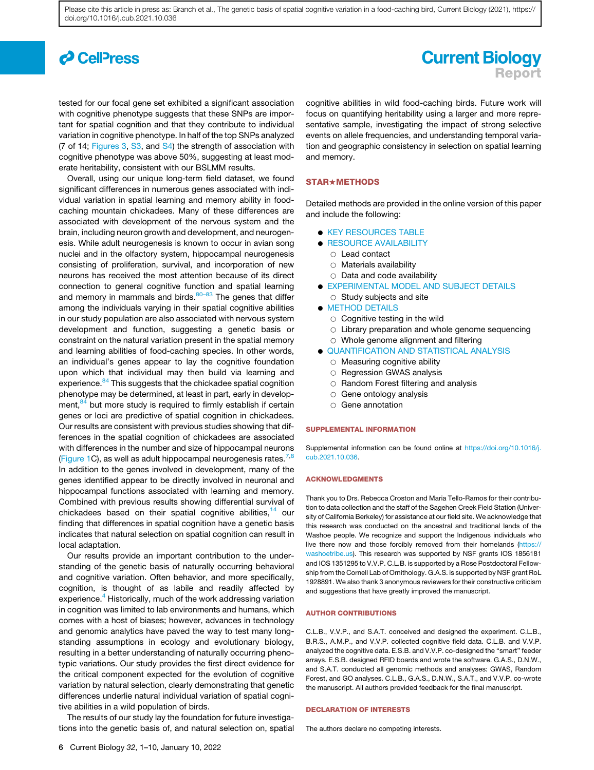# *c* CellPress

tested for our focal gene set exhibited a significant association with cognitive phenotype suggests that these SNPs are important for spatial cognition and that they contribute to individual variation in cognitive phenotype. In half of the top SNPs analyzed (7 of 14; Figures 3, S3, and S4) the strength of association with cognitive phenotype was above 50%, suggesting at least moderate heritability, consistent with our BSLMM results.

Overall, using our unique long-term field dataset, we found significant differences in numerous genes associated with individual variation in spatial learning and memory ability in foodcaching mountain chickadees. Many of these differences are associated with development of the nervous system and the brain, including neuron growth and development, and neurogenesis. While adult neurogenesis is known to occur in avian song nuclei and in the olfactory system, hippocampal neurogenesis consisting of proliferation, survival, and incorporation of new neurons has received the most attention because of its direct connection to general cognitive function and spatial learning and memory in mammals and birds. $80-83$  The genes that differ among the individuals varying in their spatial cognitive abilities in our study population are also associated with nervous system development and function, suggesting a genetic basis or constraint on the natural variation present in the spatial memory and learning abilities of food-caching species. In other words, an individual's genes appear to lay the cognitive foundation upon which that individual may then build via learning and experience.<sup>84</sup> This suggests that the chickadee spatial cognition phenotype may be determined, at least in part, early in development, $84$  but more study is required to firmly establish if certain genes or loci are predictive of spatial cognition in chickadees. Our results are consistent with previous studies showing that differences in the spatial cognition of chickadees are associated with differences in the number and size of hippocampal neurons (Figure 1C), as well as adult hippocampal neurogenesis rates.<sup>7,8</sup> In addition to the genes involved in development, many of the genes identified appear to be directly involved in neuronal and hippocampal functions associated with learning and memory. Combined with previous results showing differential survival of chickadees based on their spatial cognitive abilities,<sup>14</sup> our finding that differences in spatial cognition have a genetic basis indicates that natural selection on spatial cognition can result in local adaptation.

Our results provide an important contribution to the understanding of the genetic basis of naturally occurring behavioral and cognitive variation. Often behavior, and more specifically, cognition, is thought of as labile and readily affected by experience.<sup>4</sup> Historically, much of the work addressing variation in cognition was limited to lab environments and humans, which comes with a host of biases; however, advances in technology and genomic analytics have paved the way to test many longstanding assumptions in ecology and evolutionary biology, resulting in a better understanding of naturally occurring phenotypic variations. Our study provides the first direct evidence for the critical component expected for the evolution of cognitive variation by natural selection, clearly demonstrating that genetic differences underlie natural individual variation of spatial cognitive abilities in a wild population of birds.

The results of our study lay the foundation for future investigations into the genetic basis of, and natural selection on, spatial

### **Current Biology** Report

cognitive abilities in wild food-caching birds. Future work will focus on quantifying heritability using a larger and more representative sample, investigating the impact of strong selective events on allele frequencies, and understanding temporal variation and geographic consistency in selection on spatial learning and memory.

### STAR+METHODS

Detailed methods are provided in the online version of this paper and include the following:

- **KEY RESOURCES TABLE**
- **RESOURCE AVAILABILITY** 
	- $\circ$  Lead contact
	- $\circ$  Materials availability
	- $\circ$  Data and code availability
- **.** EXPERIMENTAL MODEL AND SUBJECT DETAILS
- $\circ$  Study subjects and site **O** METHOD DETAILS
	- $\circ$  Cognitive testing in the wild
	-
	- $\circ$  Library preparation and whole genome sequencing
- $\circ$  Whole genome alignment and filtering **QUANTIFICATION AND STATISTICAL ANALYSIS**
- - $\circ$  Measuring cognitive ability
	- $\circ$  Regression GWAS analysis
	- $\circ$  Random Forest filtering and analysis
	- $\circ$  Gene ontology analysis
	- $\circ$  Gene annotation

### SUPPLEMENTAL INFORMATION

Supplemental information can be found online at https://doi.org/10.1016/j. cub.2021.10.036.

#### ACKNOWLEDGMENTS

Thank you to Drs. Rebecca Croston and Maria Tello-Ramos for their contribution to data collection and the staff of the Sagehen Creek Field Station (University of California Berkeley) for assistance at our field site. We acknowledge that this research was conducted on the ancestral and traditional lands of the Washoe people. We recognize and support the Indigenous individuals who live there now and those forcibly removed from their homelands (https:// washoetribe.us). This research was supported by NSF grants IOS 1856181 and IOS 1351295 to V.V.P. C.L.B. is supported by a Rose Postdoctoral Fellowship from the Cornell Lab of Ornithology. G.A.S. is supported by NSF grant RoL 1928891. We also thank 3 anonymous reviewers for their constructive criticism and suggestions that have greatly improved the manuscript.

#### AUTHOR CONTRIBUTIONS

C.L.B., V.V.P., and S.A.T. conceived and designed the experiment. C.L.B., B.R.S., A.M.P., and V.V.P. collected cognitive field data. C.L.B. and V.V.P. analyzed the cognitive data. E.S.B. and V.V.P. co-designed the "smart" feeder arrays. E.S.B. designed RFID boards and wrote the software. G.A.S., D.N.W., and S.A.T. conducted all genomic methods and analyses: GWAS, Random Forest, and GO analyses. C.L.B., G.A.S., D.N.W., S.A.T., and V.V.P. co-wrote the manuscript. All authors provided feedback for the final manuscript.

#### DECLARATION OF INTERESTS

The authors declare no competing interests.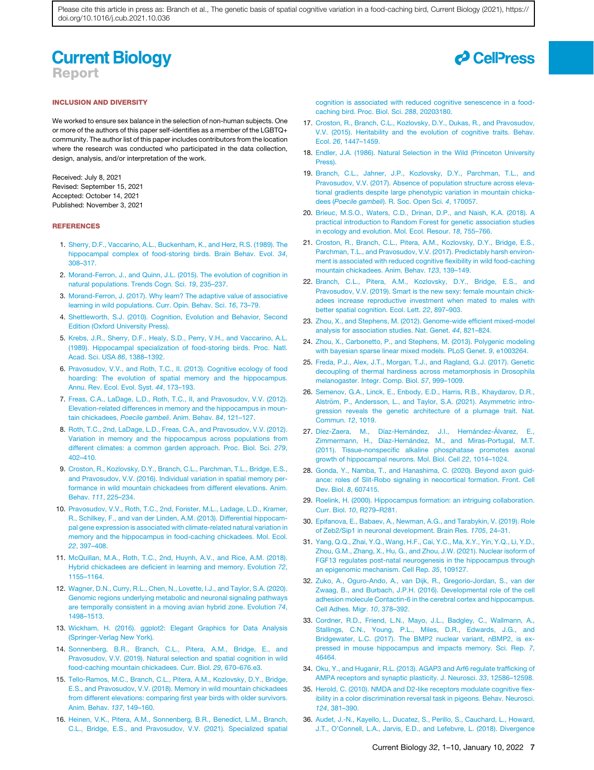### **Current Biology** Report

#### INCLUSION AND DIVERSITY

We worked to ensure sex balance in the selection of non-human subjects. One or more of the authors of this paper self-identifies as a member of the LGBTQ+ community. The author list of this paper includes contributors from the location where the research was conducted who participated in the data collection, design, analysis, and/or interpretation of the work.

Received: July 8, 2021 Revised: September 15, 2021 Accepted: October 14, 2021 Published: November 3, 2021

#### REFERENCES

- 1. Sherry, D.F., Vaccarino, A.L., Buckenham, K., and Herz, R.S. (1989). The hippocampal complex of food-storing birds. Brain Behav. Evol. *34*, 308–317.
- 2. Morand-Ferron, J., and Quinn, J.L. (2015). The evolution of cognition in natural populations. Trends Cogn. Sci. *19*, 235–237.
- 3. Morand-Ferron, J. (2017). Why learn? The adaptive value of associative learning in wild populations. Curr. Opin. Behav. Sci. *16*, 73–79.
- 4. Shettleworth, S.J. (2010). Cognition, Evolution and Behavior, Second Edition (Oxford University Press).
- 5. Krebs, J.R., Sherry, D.F., Healy, S.D., Perry, V.H., and Vaccarino, A.L. (1989). Hippocampal specialization of food-storing birds. Proc. Natl. Acad. Sci. USA *86*, 1388–1392.
- 6. Pravosudov, V.V., and Roth, T.C., II. (2013). Cognitive ecology of food hoarding: The evolution of spatial memory and the hippocampus. Annu. Rev. Ecol. Evol. Syst. *44*, 173–193.
- 7. Freas, C.A., LaDage, L.D., Roth, T.C., II, and Pravosudov, V.V. (2012). Elevation-related differences in memory and the hippocampus in mountain chickadees, *Poecile gambeli*. Anim. Behav. *84*, 121–127.
- 8. Roth, T.C., 2nd, LaDage, L.D., Freas, C.A., and Pravosudov, V.V. (2012). Variation in memory and the hippocampus across populations from different climates: a common garden approach. Proc. Biol. Sci. *279*, 402–410.
- 9. Croston, R., Kozlovsky, D.Y., Branch, C.L., Parchman, T.L., Bridge, E.S., and Pravosudov, V.V. (2016). Individual variation in spatial memory performance in wild mountain chickadees from different elevations. Anim. Behav. *111*, 225–234.
- 10. Pravosudov, V.V., Roth, T.C., 2nd, Forister, M.L., Ladage, L.D., Kramer, R., Schilkey, F., and van der Linden, A.M. (2013). Differential hippocampal gene expression is associated with climate-related natural variation in memory and the hippocampus in food-caching chickadees. Mol. Ecol. *22*, 397–408.
- 11. McQuillan, M.A., Roth, T.C., 2nd, Huynh, A.V., and Rice, A.M. (2018). Hybrid chickadees are deficient in learning and memory. Evolution *72*, 1155–1164.
- 12. Wagner, D.N., Curry, R.L., Chen, N., Lovette, I.J., and Taylor, S.A. (2020). Genomic regions underlying metabolic and neuronal signaling pathways are temporally consistent in a moving avian hybrid zone. Evolution *74*, 1498–1513.
- 13. Wickham, H. (2016). ggplot2: Elegant Graphics for Data Analysis (Springer-Verlag New York).
- 14. Sonnenberg, B.R., Branch, C.L., Pitera, A.M., Bridge, E., and Pravosudov, V.V. (2019). Natural selection and spatial cognition in wild food-caching mountain chickadees. Curr. Biol. *29*, 670–676.e3.
- 15. Tello-Ramos, M.C., Branch, C.L., Pitera, A.M., Kozlovsky, D.Y., Bridge, E.S., and Pravosudov, V.V. (2018). Memory in wild mountain chickadees from different elevations: comparing first year birds with older survivors. Anim. Behav. *137*, 149–160.
- 16. Heinen, V.K., Pitera, A.M., Sonnenberg, B.R., Benedict, L.M., Branch, C.L., Bridge, E.S., and Pravosudov, V.V. (2021). Specialized spatial



17. Croston, R., Branch, C.L., Kozlovsky, D.Y., Dukas, R., and Pravosudov, V.V. (2015). Heritability and the evolution of cognitive traits. Behav. Ecol. *26*, 1447–1459.

caching bird. Proc. Biol. Sci. *288*, 20203180.

- 18. Endler, J.A. (1986). Natural Selection in the Wild (Princeton University Press).
- 19. Branch, C.L., Jahner, J.P., Kozlovsky, D.Y., Parchman, T.L., and Pravosudov, V.V. (2017). Absence of population structure across elevational gradients despite large phenotypic variation in mountain chickadees (*Poecile gambeli*). R. Soc. Open Sci. *4*, 170057.
- 20. Brieuc, M.S.O., Waters, C.D., Drinan, D.P., and Naish, K.A. (2018). A practical introduction to Random Forest for genetic association studies in ecology and evolution. Mol. Ecol. Resour. *18*, 755–766.
- 21. Croston, R., Branch, C.L., Pitera, A.M., Kozlovsky, D.Y., Bridge, E.S., Parchman, T.L., and Pravosudov, V.V. (2017). Predictably harsh environment is associated with reduced cognitive flexibility in wild food-caching mountain chickadees. Anim. Behav. *123*, 139–149.
- 22. Branch, C.L., Pitera, A.M., Kozlovsky, D.Y., Bridge, E.S., and Pravosudov, V.V. (2019). Smart is the new sexy: female mountain chickadees increase reproductive investment when mated to males with better spatial cognition. Ecol. Lett. *22*, 897–903.
- 23. Zhou, X., and Stephens, M. (2012). Genome-wide efficient mixed-model analysis for association studies. Nat. Genet. *44*, 821–824.
- 24. Zhou, X., Carbonetto, P., and Stephens, M. (2013). Polygenic modeling with bayesian sparse linear mixed models. PLoS Genet. *9*, e1003264.
- 25. Freda, P.J., Alex, J.T., Morgan, T.J., and Ragland, G.J. (2017). Genetic decoupling of thermal hardiness across metamorphosis in Drosophila melanogaster. Integr. Comp. Biol. *57*, 999–1009.
- 26. Semenov, G.A., Linck, E., Enbody, E.D., Harris, R.B., Khaydarov, D.R., Alström, P., Andersson, L., and Taylor, S.A. (2021). Asymmetric introgression reveals the genetic architecture of a plumage trait. Nat. Commun. *12*, 1019.
- 27. Díez-Zaera, M., Díaz-Hernández, J.I., Hernández-Álvarez, E., Zimmermann, H., Díaz-Hernández, M., and Miras-Portugal, M.T. (2011). Tissue-nonspecific alkaline phosphatase promotes axonal growth of hippocampal neurons. Mol. Biol. Cell *22*, 1014–1024.
- 28. Gonda, Y., Namba, T., and Hanashima, C. (2020). Beyond axon guidance: roles of Slit-Robo signaling in neocortical formation. Front. Cell Dev. Biol. *8*, 607415.
- 29. Roelink, H. (2000). Hippocampus formation: an intriguing collaboration. Curr. Biol. *10*, R279–R281.
- 30. Epifanova, E., Babaev, A., Newman, A.G., and Tarabykin, V. (2019). Role of Zeb2/Sip1 in neuronal development. Brain Res. *1705*, 24–31.
- 31. Yang, Q.Q., Zhai, Y.Q., Wang, H.F., Cai, Y.C., Ma, X.Y., Yin, Y.Q., Li, Y.D., Zhou, G.M., Zhang, X., Hu, G., and Zhou, J.W. (2021). Nuclear isoform of FGF13 regulates post-natal neurogenesis in the hippocampus through an epigenomic mechanism. Cell Rep. *35*, 109127.
- 32. Zuko, A., Oguro-Ando, A., van Dijk, R., Gregorio-Jordan, S., van der Zwaag, B., and Burbach, J.P.H. (2016). Developmental role of the cell adhesion molecule Contactin-6 in the cerebral cortex and hippocampus. Cell Adhes. Migr. *10*, 378–392.
- 33. Cordner, R.D., Friend, L.N., Mayo, J.L., Badgley, C., Wallmann, A., Stallings, C.N., Young, P.L., Miles, D.R., Edwards, J.G., and Bridgewater, L.C. (2017). The BMP2 nuclear variant, nBMP2, is expressed in mouse hippocampus and impacts memory. Sci. Rep. *7*, 46464.
- 34. Oku, Y., and Huganir, R.L. (2013). AGAP3 and Arf6 regulate trafficking of AMPA receptors and synaptic plasticity. J. Neurosci. *33*, 12586–12598.
- 35. Herold, C. (2010). NMDA and D2-like receptors modulate cognitive flexibility in a color discrimination reversal task in pigeons. Behav. Neurosci. *124*, 381–390.
- 36. Audet, J.-N., Kayello, L., Ducatez, S., Perillo, S., Cauchard, L., Howard, J.T., O'Connell, L.A., Jarvis, E.D., and Lefebvre, L. (2018). Divergence

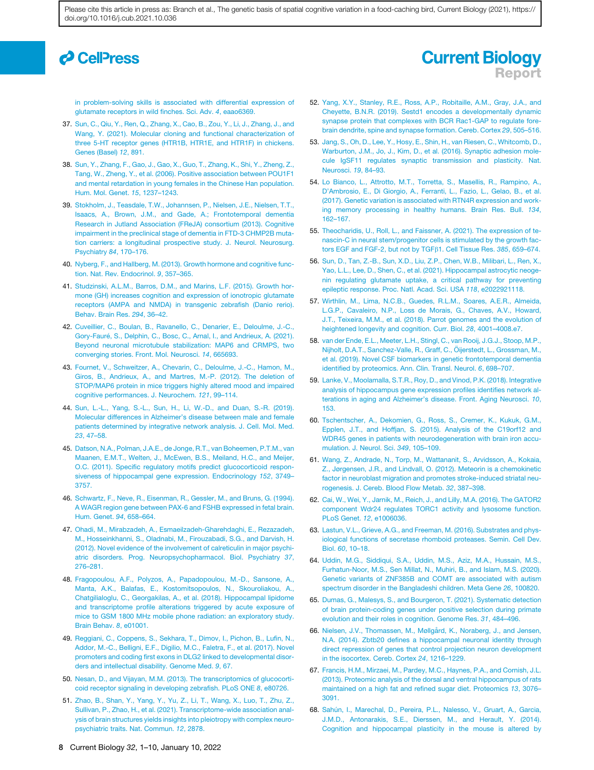# *d* CellPress

in problem-solving skills is associated with differential expression of glutamate receptors in wild finches. Sci. Adv. *4*, eaao6369.

- 37. Sun, C., Qiu, Y., Ren, Q., Zhang, X., Cao, B., Zou, Y., Li, J., Zhang, J., and Wang, Y. (2021). Molecular cloning and functional characterization of three 5-HT receptor genes (HTR1B, HTR1E, and HTR1F) in chickens. Genes (Basel) *12*, 891.
- 38. Sun, Y., Zhang, F., Gao, J., Gao, X., Guo, T., Zhang, K., Shi, Y., Zheng, Z., Tang, W., Zheng, Y., et al. (2006). Positive association between POU1F1 and mental retardation in young females in the Chinese Han population. Hum. Mol. Genet. *15*, 1237–1243.
- 39. Stokholm, J., Teasdale, T.W., Johannsen, P., Nielsen, J.E., Nielsen, T.T., Isaacs, A., Brown, J.M., and Gade, A.; Frontotemporal dementia Research in Jutland Association (FReJA) consortium (2013). Cognitive impairment in the preclinical stage of dementia in FTD-3 CHMP2B mutation carriers: a longitudinal prospective study. J. Neurol. Neurosurg. Psychiatry *84*, 170–176.
- 40. Nyberg, F., and Hallberg, M. (2013). Growth hormone and cognitive function. Nat. Rev. Endocrinol. *9*, 357–365.
- 41. Studzinski, A.L.M., Barros, D.M., and Marins, L.F. (2015). Growth hormone (GH) increases cognition and expression of ionotropic glutamate receptors (AMPA and NMDA) in transgenic zebrafish (Danio rerio). Behav. Brain Res. *294*, 36–42.
- 42. Cuveillier, C., Boulan, B., Ravanello, C., Denarier, E., Deloulme, J.-C., Gory-Fauré, S., Delphin, C., Bosc, C., Arnal, I., and Andrieux, A. (2021). Beyond neuronal microtubule stabilization: MAP6 and CRMPS, two converging stories. Front. Mol. Neurosci. *14*, 665693.
- 43. Fournet, V., Schweitzer, A., Chevarin, C., Deloulme, J.-C., Hamon, M., Giros, B., Andrieux, A., and Martres, M.-P. (2012). The deletion of STOP/MAP6 protein in mice triggers highly altered mood and impaired cognitive performances. J. Neurochem. *121*, 99–114.
- 44. Sun, L.-L., Yang, S.-L., Sun, H., Li, W.-D., and Duan, S.-R. (2019). Molecular differences in Alzheimer's disease between male and female patients determined by integrative network analysis. J. Cell. Mol. Med. *23*, 47–58.
- 45. Datson, N.A., Polman, J.A.E., de Jonge, R.T., van Boheemen, P.T.M., van Maanen, E.M.T., Welten, J., McEwen, B.S., Meiland, H.C., and Meijer, O.C. (2011). Specific regulatory motifs predict glucocorticoid responsiveness of hippocampal gene expression. Endocrinology *152*, 3749– 3757.
- 46. Schwartz, F., Neve, R., Eisenman, R., Gessler, M., and Bruns, G. (1994). A WAGR region gene between PAX-6 and FSHB expressed in fetal brain. Hum. Genet. *94*, 658–664.
- 47. Ohadi, M., Mirabzadeh, A., Esmaeilzadeh-Gharehdaghi, E., Rezazadeh, M., Hosseinkhanni, S., Oladnabi, M., Firouzabadi, S.G., and Darvish, H. (2012). Novel evidence of the involvement of calreticulin in major psychiatric disorders. Prog. Neuropsychopharmacol. Biol. Psychiatry *37*, 276–281.
- 48. Fragopoulou, A.F., Polyzos, A., Papadopoulou, M.-D., Sansone, A., Manta, A.K., Balafas, E., Kostomitsopoulos, N., Skouroliakou, A., Chatgilialoglu, C., Georgakilas, A., et al. (2018). Hippocampal lipidome and transcriptome profile alterations triggered by acute exposure of mice to GSM 1800 MHz mobile phone radiation: an exploratory study. Brain Behav. *8*, e01001.
- 49. Reggiani, C., Coppens, S., Sekhara, T., Dimov, I., Pichon, B., Lufin, N., Addor, M.-C., Belligni, E.F., Digilio, M.C., Faletra, F., et al. (2017). Novel promoters and coding first exons in DLG2 linked to developmental disorders and intellectual disability. Genome Med. *9*, 67.
- 50. Nesan, D., and Vijayan, M.M. (2013). The transcriptomics of glucocorticoid receptor signaling in developing zebrafish. PLoS ONE *8*, e80726.
- 51. Zhao, B., Shan, Y., Yang, Y., Yu, Z., Li, T., Wang, X., Luo, T., Zhu, Z., Sullivan, P., Zhao, H., et al. (2021). Transcriptome-wide association analysis of brain structures yields insights into pleiotropy with complex neuropsychiatric traits. Nat. Commun. *12*, 2878.

52. Yang, X.Y., Stanley, R.E., Ross, A.P., Robitaille, A.M., Gray, J.A., and Cheyette, B.N.R. (2019). Sestd1 encodes a developmentally dynamic synapse protein that complexes with BCR Rac1-GAP to regulate forebrain dendrite, spine and synapse formation. Cereb. Cortex *29*, 505–516.

Report

**Current Biology** 

- 53. Jang, S., Oh, D., Lee, Y., Hosy, E., Shin, H., van Riesen, C., Whitcomb, D., Warburton, J.M., Jo, J., Kim, D., et al. (2016). Synaptic adhesion molecule IgSF11 regulates synaptic transmission and plasticity. Nat. Neurosci. *19*, 84–93.
- 54. Lo Bianco, L., Attrotto, M.T., Torretta, S., Masellis, R., Rampino, A., D'Ambrosio, E., Di Giorgio, A., Ferranti, L., Fazio, L., Gelao, B., et al. (2017). Genetic variation is associated with RTN4R expression and working memory processing in healthy humans. Brain Res. Bull. *134*, 162–167.
- 55. Theocharidis, U., Roll, L., and Faissner, A. (2021). The expression of tenascin-C in neural stem/progenitor cells is stimulated by the growth factors EGF and FGF-2, but not by TGFb1. Cell Tissue Res. *385*, 659–674.
- 56. Sun, D., Tan, Z.-B., Sun, X.D., Liu, Z.P., Chen, W.B., Milibari, L., Ren, X., Yao, L.L., Lee, D., Shen, C., et al. (2021). Hippocampal astrocytic neogenin regulating glutamate uptake, a critical pathway for preventing epileptic response. Proc. Natl. Acad. Sci. USA *118*, e2022921118.
- 57. Wirthlin, M., Lima, N.C.B., Guedes, R.L.M., Soares, A.E.R., Almeida, L.G.P., Cavaleiro, N.P., Loss de Morais, G., Chaves, A.V., Howard, J.T., Teixeira, M.M., et al. (2018). Parrot genomes and the evolution of heightened longevity and cognition. Curr. Biol. *28*, 4001–4008.e7.
- 58. van der Ende, E.L., Meeter, L.H., Stingl, C., van Rooij, J.G.J., Stoop, M.P., Nijholt, D.A.T., Sanchez-Valle, R., Graff, C., Öijerstedt, L., Grossman, M., et al. (2019). Novel CSF biomarkers in genetic frontotemporal dementia identified by proteomics. Ann. Clin. Transl. Neurol. *6*, 698–707.
- 59. Lanke, V., Moolamalla, S.T.R., Roy, D., and Vinod, P.K. (2018). Integrative analysis of hippocampus gene expression profiles identifies network alterations in aging and Alzheimer's disease. Front. Aging Neurosci. *10*, 153.
- 60. Tschentscher, A., Dekomien, G., Ross, S., Cremer, K., Kukuk, G.M., Epplen, J.T., and Hoffjan, S. (2015). Analysis of the C19orf12 and WDR45 genes in patients with neurodegeneration with brain iron accumulation. J. Neurol. Sci. *349*, 105–109.
- 61. Wang, Z., Andrade, N., Torp, M., Wattananit, S., Arvidsson, A., Kokaia, Z., Jørgensen, J.R., and Lindvall, O. (2012). Meteorin is a chemokinetic factor in neuroblast migration and promotes stroke-induced striatal neurogenesis. J. Cereb. Blood Flow Metab. *32*, 387–398.
- 62. Cai, W., Wei, Y., Jarnik, M., Reich, J., and Lilly, M.A. (2016). The GATOR2 component Wdr24 regulates TORC1 activity and lysosome function. PLoS Genet. *12*, e1006036.
- 63. Lastun, V.L., Grieve, A.G., and Freeman, M. (2016). Substrates and physiological functions of secretase rhomboid proteases. Semin. Cell Dev. Biol. *60*, 10–18.
- 64. Uddin, M.G., Siddiqui, S.A., Uddin, M.S., Aziz, M.A., Hussain, M.S., Furhatun-Noor, M.S., Sen Millat, N., Muhiri, B., and Islam, M.S. (2020). Genetic variants of ZNF385B and COMT are associated with autism spectrum disorder in the Bangladeshi children. Meta Gene *26*, 100820.
- 65. Dumas, G., Malesys, S., and Bourgeron, T. (2021). Systematic detection of brain protein-coding genes under positive selection during primate evolution and their roles in cognition. Genome Res. *31*, 484–496.
- 66. Nielsen, J.V., Thomassen, M., Møllgård, K., Noraberg, J., and Jensen, N.A. (2014). Zbtb20 defines a hippocampal neuronal identity through direct repression of genes that control projection neuron development in the isocortex. Cereb. Cortex *24*, 1216–1229.
- 67. Francis, H.M., Mirzaei, M., Pardey, M.C., Haynes, P.A., and Cornish, J.L. (2013). Proteomic analysis of the dorsal and ventral hippocampus of rats maintained on a high fat and refined sugar diet. Proteomics *13*, 3076– 3091.
- 68. Sahún, I., Marechal, D., Pereira, P.L., Nalesso, V., Gruart, A., Garcia, J.M.D., Antonarakis, S.E., Dierssen, M., and Herault, Y. (2014). Cognition and hippocampal plasticity in the mouse is altered by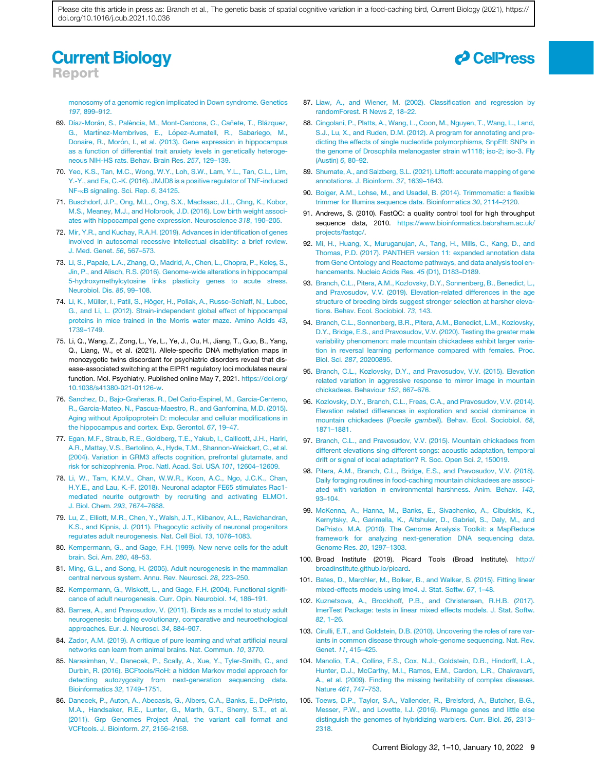### **Current Biology** Report

monosomy of a genomic region implicated in Down syndrome. Genetics *197*, 899–912.

- 69. Díaz-Morán, S., Palència, M., Mont-Cardona, C., Cañete, T., Blázquez, G., Martínez-Membrives, E., López-Aumatell, R., Sabariego, M., Donaire, R., Morón, I., et al. (2013). Gene expression in hippocampus as a function of differential trait anxiety levels in genetically heterogeneous NIH-HS rats. Behav. Brain Res. *257*, 129–139.
- 70. Yeo, K.S., Tan, M.C., Wong, W.Y., Loh, S.W., Lam, Y.L., Tan, C.L., Lim, Y.-Y., and Ea, C.-K. (2016). JMJD8 is a positive regulator of TNF-induced NF-kB signaling. Sci. Rep. *6*, 34125.
- 71. Buschdorf, J.P., Ong, M.L., Ong, S.X., MacIsaac, J.L., Chng, K., Kobor, M.S., Meaney, M.J., and Holbrook, J.D. (2016). Low birth weight associates with hippocampal gene expression. Neuroscience *318*, 190–205.
- 72. Mir, Y.R., and Kuchay, R.A.H. (2019). Advances in identification of genes involved in autosomal recessive intellectual disability: a brief review. J. Med. Genet. *56*, 567–573.
- 73. Li, S., Papale, L.A., Zhang, Q., Madrid, A., Chen, L., Chopra, P., Keles, S., Jin, P., and Alisch, R.S. (2016). Genome-wide alterations in hippocampal 5-hydroxymethylcytosine links plasticity genes to acute stress. Neurobiol. Dis. *86*, 99–108.
- 74. Li, K., Müller, I., Patil, S., Höger, H., Pollak, A., Russo-Schlaff, N., Lubec, G., and Li, L. (2012). Strain-independent global effect of hippocampal proteins in mice trained in the Morris water maze. Amino Acids *43*, 1739–1749.
- 75. Li, Q., Wang, Z., Zong, L., Ye, L., Ye, J., Ou, H., Jiang, T., Guo, B., Yang, Q., Liang, W., et al. (2021). Allele-specific DNA methylation maps in monozygotic twins discordant for psychiatric disorders reveal that disease-associated switching at the EIPR1 regulatory loci modulates neural function. Mol. Psychiatry. Published online May 7, 2021. https://doi.org/ 10.1038/s41380-021-01126-w.
- 76. Sanchez, D., Bajo-Grañeras, R., Del Caño-Espinel, M., Garcia-Centeno, R., Garcia-Mateo, N., Pascua-Maestro, R., and Ganfornina, M.D. (2015). Aging without Apolipoprotein D: molecular and cellular modifications in the hippocampus and cortex. Exp. Gerontol. *67*, 19–47.
- 77. Egan, M.F., Straub, R.E., Goldberg, T.E., Yakub, I., Callicott, J.H., Hariri, A.R., Mattay, V.S., Bertolino, A., Hyde, T.M., Shannon-Weickert, C., et al. (2004). Variation in GRM3 affects cognition, prefrontal glutamate, and risk for schizophrenia. Proc. Natl. Acad. Sci. USA *101*, 12604–12609.
- 78. Li, W., Tam, K.M.V., Chan, W.W.R., Koon, A.C., Ngo, J.C.K., Chan, H.Y.E., and Lau, K.-F. (2018). Neuronal adaptor FE65 stimulates Rac1 mediated neurite outgrowth by recruiting and activating ELMO1. J. Biol. Chem. *293*, 7674–7688.
- 79. Lu, Z., Elliott, M.R., Chen, Y., Walsh, J.T., Klibanov, A.L., Ravichandran, K.S., and Kipnis, J. (2011). Phagocytic activity of neuronal progenitors regulates adult neurogenesis. Nat. Cell Biol. *13*, 1076–1083.
- 80. Kempermann, G., and Gage, F.H. (1999). New nerve cells for the adult brain. Sci. Am. *280*, 48–53.
- 81. Ming, G.L., and Song, H. (2005). Adult neurogenesis in the mammalian central nervous system. Annu. Rev. Neurosci. *28*, 223–250.
- 82. Kempermann, G., Wiskott, L., and Gage, F.H. (2004). Functional significance of adult neurogenesis. Curr. Opin. Neurobiol. *14*, 186–191.
- 83. Barnea, A., and Pravosudov, V. (2011). Birds as a model to study adult neurogenesis: bridging evolutionary, comparative and neuroethological approaches. Eur. J. Neurosci. *34*, 884–907.
- 84. Zador, A.M. (2019). A critique of pure learning and what artificial neural networks can learn from animal brains. Nat. Commun. *10*, 3770.
- 85. Narasimhan, V., Danecek, P., Scally, A., Xue, Y., Tyler-Smith, C., and Durbin, R. (2016). BCFtools/RoH: a hidden Markov model approach for detecting autozygosity from next-generation sequencing data. Bioinformatics *32*, 1749–1751.
- 86. Danecek, P., Auton, A., Abecasis, G., Albers, C.A., Banks, E., DePristo, M.A., Handsaker, R.E., Lunter, G., Marth, G.T., Sherry, S.T., et al. (2011). Grp Genomes Project Anal, the variant call format and VCFtools. J. Bioinform. *27*, 2156–2158.
- 87. Liaw, A., and Wiener, M. (2002). Classification and regression by randomForest. R News *2*, 18–22.
- 88. Cingolani, P., Platts, A., Wang, L., Coon, M., Nguyen, T., Wang, L., Land, S.J., Lu, X., and Ruden, D.M. (2012). A program for annotating and predicting the effects of single nucleotide polymorphisms, SnpEff: SNPs in the genome of Drosophila melanogaster strain w1118; iso-2; iso-3. Fly (Austin) *6*, 80–92.
- 89. Shumate, A., and Salzberg, S.L. (2021). Liftoff: accurate mapping of gene annotations. J. Bioinform. *37*, 1639–1643.
- 90. Bolger, A.M., Lohse, M., and Usadel, B. (2014). Trimmomatic: a flexible trimmer for Illumina sequence data. Bioinformatics *30*, 2114–2120.
- 91. Andrews, S. (2010). FastQC: a quality control tool for high throughput sequence data, 2010. https://www.bioinformatics.babraham.ac.uk/ projects/fastqc/.
- 92. Mi, H., Huang, X., Muruganujan, A., Tang, H., Mills, C., Kang, D., and Thomas, P.D. (2017). PANTHER version 11: expanded annotation data from Gene Ontology and Reactome pathways, and data analysis tool enhancements. Nucleic Acids Res. *45* (D1), D183–D189.
- 93. Branch, C.L., Pitera, A.M., Kozlovsky, D.Y., Sonnenberg, B., Benedict, L., and Pravosudov, V.V. (2019). Elevation-related differences in the age structure of breeding birds suggest stronger selection at harsher elevations. Behav. Ecol. Sociobiol. *73*, 143.
- 94. Branch, C.L., Sonnenberg, B.R., Pitera, A.M., Benedict, L.M., Kozlovsky, D.Y., Bridge, E.S., and Pravosudov, V.V. (2020). Testing the greater male variability phenomenon: male mountain chickadees exhibit larger variation in reversal learning performance compared with females. Proc. Biol. Sci. *287*, 20200895.
- 95. Branch, C.L., Kozlovsky, D.Y., and Pravosudov, V.V. (2015). Elevation related variation in aggressive response to mirror image in mountain chickadees. Behaviour *152*, 667–676.
- 96. Kozlovsky, D.Y., Branch, C.L., Freas, C.A., and Pravosudov, V.V. (2014). Elevation related differences in exploration and social dominance in mountain chickadees (*Poecile gambeli*). Behav. Ecol. Sociobiol. *68*, 1871–1881.
- 97. Branch, C.L., and Pravosudov, V.V. (2015). Mountain chickadees from different elevations sing different songs: acoustic adaptation, temporal drift or signal of local adaptation? R. Soc. Open Sci. *2*, 150019.
- 98. Pitera, A.M., Branch, C.L., Bridge, E.S., and Pravosudov, V.V. (2018). Daily foraging routines in food-caching mountain chickadees are associated with variation in environmental harshness. Anim. Behav. *143*, 93–104.
- 99. McKenna, A., Hanna, M., Banks, E., Sivachenko, A., Cibulskis, K., Kernytsky, A., Garimella, K., Altshuler, D., Gabriel, S., Daly, M., and DePristo, M.A. (2010). The Genome Analysis Toolkit: a MapReduce framework for analyzing next-generation DNA sequencing data. Genome Res. *20*, 1297–1303.
- 100. Broad Institute (2019). Picard Tools (Broad Institute). http:// broadinstitute.github.io/picard.
- 101. Bates, D., Marchler, M., Bolker, B., and Walker, S. (2015). Fitting linear mixed-effects models using lme4. J. Stat. Softw. *67*, 1–48.
- 102. Kuznetsova, A., Brockhoff, P.B., and Christensen, R.H.B. (2017). lmerTest Package: tests in linear mixed effects models. J. Stat. Softw. *82*, 1–26.
- 103. Cirulli, E.T., and Goldstein, D.B. (2010). Uncovering the roles of rare variants in common disease through whole-genome sequencing. Nat. Rev. Genet. *11*, 415–425.
- 104. Manolio, T.A., Collins, F.S., Cox, N.J., Goldstein, D.B., Hindorff, L.A., Hunter, D.J., McCarthy, M.I., Ramos, E.M., Cardon, L.R., Chakravarti, A., et al. (2009). Finding the missing heritability of complex diseases. Nature *461*, 747–753.
- 105. Toews, D.P., Taylor, S.A., Vallender, R., Brelsford, A., Butcher, B.G., Messer, P.W., and Lovette, I.J. (2016). Plumage genes and little else distinguish the genomes of hybridizing warblers. Curr. Biol. *26*, 2313– 2318.

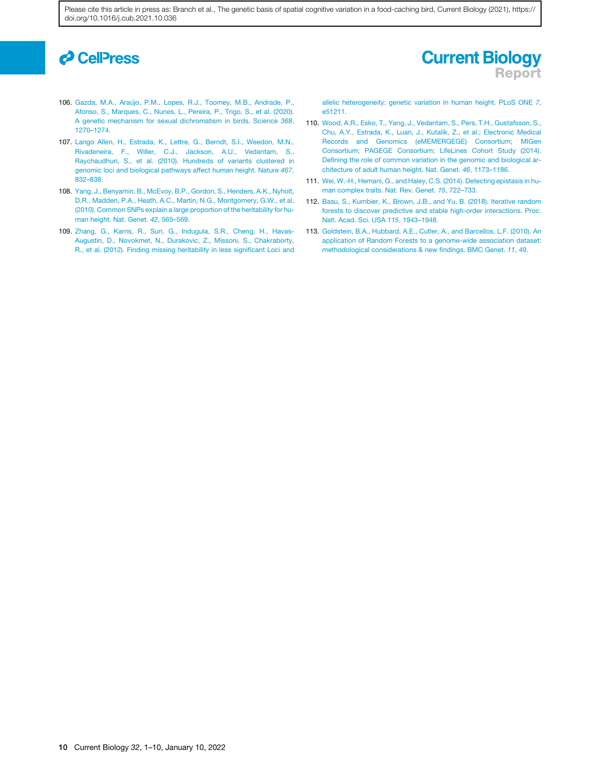# *<u>d* CellPress</u>

### 106. Gazda, M.A., Araújo, P.M., Lopes, R.J., Toomey, M.B., Andrade, P., Afonso, S., Marques, C., Nunes, L., Pereira, P., Trigo, S., et al. (2020). A genetic mechanism for sexual dichromatism in birds. Science *368*, 1270–1274.

- 107. Lango Allen, H., Estrada, K., Lettre, G., Berndt, S.I., Weedon, M.N., Rivadeneira, F., Willer, C.J., Jackson, A.U., Vedantam, S., Raychaudhuri, S., et al. (2010). Hundreds of variants clustered in genomic loci and biological pathways affect human height. Nature *467*, 832–838.
- 108. Yang, J., Benyamin, B., McEvoy, B.P., Gordon, S., Henders, A.K., Nyholt, D.R., Madden, P.A., Heath, A.C., Martin, N.G., Montgomery, G.W., et al. (2010). Common SNPs explain a large proportion of the heritability for human height. Nat. Genet. *42*, 565–569.
- 109. Zhang, G., Karns, R., Sun, G., Indugula, S.R., Cheng, H., Havas-Augustin, D., Novokmet, N., Durakovic, Z., Missoni, S., Chakraborty, R., et al. (2012). Finding missing heritability in less significant Loci and

allelic heterogeneity: genetic variation in human height. PLoS ONE *7*, e51211.

Report

**Current Biology** 

- 110. Wood, A.R., Esko, T., Yang, J., Vedantam, S., Pers, T.H., Gustafsson, S., Chu, A.Y., Estrada, K., Luan, J., Kutalik, Z., et al.; Electronic Medical Records and Genomics (eMEMERGEGE) Consortium; MIGen Consortium; PAGEGE Consortium; LifeLines Cohort Study (2014). Defining the role of common variation in the genomic and biological architecture of adult human height. Nat. Genet. *46*, 1173–1186.
- 111. Wei, W.-H., Hemani, G., and Haley, C.S. (2014). Detecting epistasis in human complex traits. Nat. Rev. Genet. *15*, 722–733.
- 112. Basu, S., Kumbier, K., Brown, J.B., and Yu, B. (2018). Iterative random forests to discover predictive and stable high-order interactions. Proc. Natl. Acad. Sci. USA *115*, 1943–1948.
- 113. Goldstein, B.A., Hubbard, A.E., Cutler, A., and Barcellos, L.F. (2010). An application of Random Forests to a genome-wide association dataset: methodological considerations & new findings. BMC Genet. *11*, 49.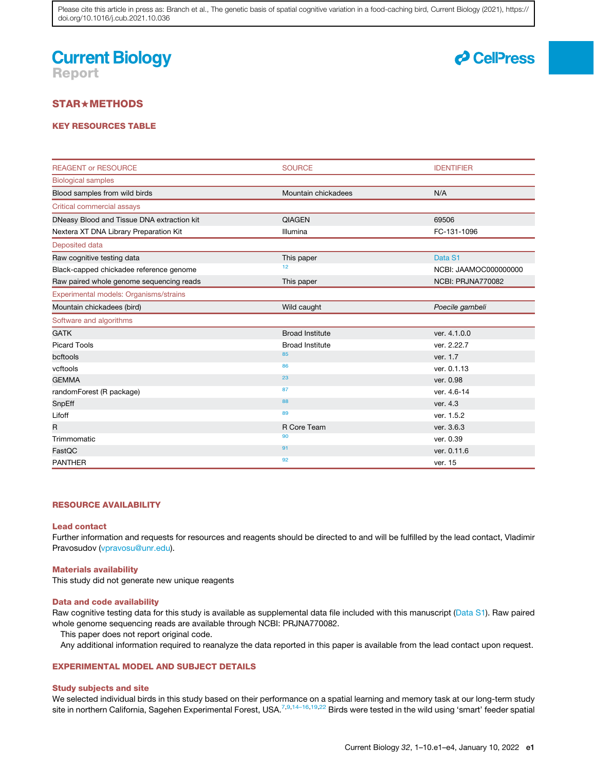# **Current Biology** Report



### STAR+METHODS

### KEY RESOURCES TABLE

| <b>REAGENT or RESOURCE</b>                 | <b>SOURCE</b>          | <b>IDENTIFIER</b>     |
|--------------------------------------------|------------------------|-----------------------|
| <b>Biological samples</b>                  |                        |                       |
| Blood samples from wild birds              | Mountain chickadees    | N/A                   |
| Critical commercial assays                 |                        |                       |
| DNeasy Blood and Tissue DNA extraction kit | <b>QIAGEN</b>          | 69506                 |
| Nextera XT DNA Library Preparation Kit     | Illumina               | FC-131-1096           |
| Deposited data                             |                        |                       |
| Raw cognitive testing data                 | This paper             | Data S1               |
| Black-capped chickadee reference genome    | 12 <sub>2</sub>        | NCBI: JAAMOC000000000 |
| Raw paired whole genome sequencing reads   | This paper             | NCBI: PRJNA770082     |
| Experimental models: Organisms/strains     |                        |                       |
| Mountain chickadees (bird)                 | Wild caught            | Poecile gambeli       |
| Software and algorithms                    |                        |                       |
| <b>GATK</b>                                | <b>Broad Institute</b> | ver. 4.1.0.0          |
| <b>Picard Tools</b>                        | <b>Broad Institute</b> | ver. 2.22.7           |
| bcftools                                   | 85                     | ver. 1.7              |
| vcftools                                   | 86                     | ver. 0.1.13           |
| <b>GEMMA</b>                               | 23                     | ver. 0.98             |
| randomForest (R package)                   | 87                     | ver. 4.6-14           |
| SnpEff                                     | 88                     | ver. 4.3              |
| Lifoff                                     | 89                     | ver. 1.5.2            |
| R                                          | R Core Team            | ver. 3.6.3            |
| Trimmomatic                                | 90                     | ver. 0.39             |
| FastQC                                     | 91                     | ver. 0.11.6           |
| <b>PANTHER</b>                             | 92                     | ver. 15               |

### RESOURCE AVAILABILITY

#### Lead contact

Further information and requests for resources and reagents should be directed to and will be fulfilled by the lead contact, Vladimir Pravosudov (vpravosu@unr.edu).

#### Materials availability

This study did not generate new unique reagents

### Data and code availability

Raw cognitive testing data for this study is available as supplemental data file included with this manuscript (Data S1). Raw paired whole genome sequencing reads are available through NCBI: PRJNA770082.

This paper does not report original code.

Any additional information required to reanalyze the data reported in this paper is available from the lead contact upon request.

### EXPERIMENTAL MODEL AND SUBJECT DETAILS

### Study subjects and site

We selected individual birds in this study based on their performance on a spatial learning and memory task at our long-term study site in northern California, Sagehen Experimental Forest, USA.<sup>7,9,14–16,19,22</sup> Birds were tested in the wild using 'smart' feeder spatial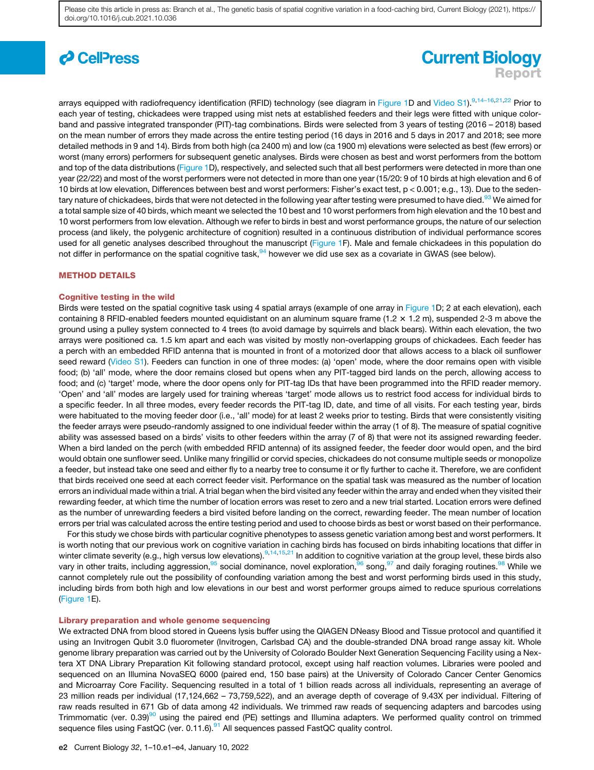# *c* CellPress

# **Current Biology** Report

arrays equipped with radiofrequency identification (RFID) technology (see diagram in Figure 1D and Video S1).<sup>9,14–16,21,22</sup> Prior to each year of testing, chickadees were trapped using mist nets at established feeders and their legs were fitted with unique colorband and passive integrated transponder (PIT)-tag combinations. Birds were selected from 3 years of testing (2016 – 2018) based on the mean number of errors they made across the entire testing period (16 days in 2016 and 5 days in 2017 and 2018; see more detailed methods in 9 and 14). Birds from both high (ca 2400 m) and low (ca 1900 m) elevations were selected as best (few errors) or worst (many errors) performers for subsequent genetic analyses. Birds were chosen as best and worst performers from the bottom and top of the data distributions (Figure 1D), respectively, and selected such that all best performers were detected in more than one year (22/22) and most of the worst performers were not detected in more than one year (15/20: 9 of 10 birds at high elevation and 6 of 10 birds at low elevation, Differences between best and worst performers: Fisher's exact test, p < 0.001; e.g., 13). Due to the sedentary nature of chickadees, birds that were not detected in the following year after testing were presumed to have died.<sup>93</sup> We aimed for a total sample size of 40 birds, which meant we selected the 10 best and 10 worst performers from high elevation and the 10 best and 10 worst performers from low elevation. Although we refer to birds in best and worst performance groups, the nature of our selection process (and likely, the polygenic architecture of cognition) resulted in a continuous distribution of individual performance scores used for all genetic analyses described throughout the manuscript (Figure 1F). Male and female chickadees in this population do not differ in performance on the spatial cognitive task,<sup>94</sup> however we did use sex as a covariate in GWAS (see below).

### METHOD DETAILS

### Cognitive testing in the wild

Birds were tested on the spatial cognitive task using 4 spatial arrays (example of one array in Figure 1D; 2 at each elevation), each containing 8 RFID-enabled feeders mounted equidistant on an aluminum square frame  $(1.2 \times 1.2 \text{ m})$ , suspended 2-3 m above the ground using a pulley system connected to 4 trees (to avoid damage by squirrels and black bears). Within each elevation, the two arrays were positioned ca. 1.5 km apart and each was visited by mostly non-overlapping groups of chickadees. Each feeder has a perch with an embedded RFID antenna that is mounted in front of a motorized door that allows access to a black oil sunflower seed reward (Video S1). Feeders can function in one of three modes: (a) 'open' mode, where the door remains open with visible food; (b) 'all' mode, where the door remains closed but opens when any PIT-tagged bird lands on the perch, allowing access to food; and (c) 'target' mode, where the door opens only for PIT-tag IDs that have been programmed into the RFID reader memory. 'Open' and 'all' modes are largely used for training whereas 'target' mode allows us to restrict food access for individual birds to a specific feeder. In all three modes, every feeder records the PIT-tag ID, date, and time of all visits. For each testing year, birds were habituated to the moving feeder door (i.e., 'all' mode) for at least 2 weeks prior to testing. Birds that were consistently visiting the feeder arrays were pseudo-randomly assigned to one individual feeder within the array (1 of 8). The measure of spatial cognitive ability was assessed based on a birds' visits to other feeders within the array (7 of 8) that were not its assigned rewarding feeder. When a bird landed on the perch (with embedded RFID antenna) of its assigned feeder, the feeder door would open, and the bird would obtain one sunflower seed. Unlike many fringillid or corvid species, chickadees do not consume multiple seeds or monopolize a feeder, but instead take one seed and either fly to a nearby tree to consume it or fly further to cache it. Therefore, we are confident that birds received one seed at each correct feeder visit. Performance on the spatial task was measured as the number of location errors an individual made within a trial. A trial began when the bird visited any feeder within the array and ended when they visited their rewarding feeder, at which time the number of location errors was reset to zero and a new trial started. Location errors were defined as the number of unrewarding feeders a bird visited before landing on the correct, rewarding feeder. The mean number of location errors per trial was calculated across the entire testing period and used to choose birds as best or worst based on their performance.

For this study we chose birds with particular cognitive phenotypes to assess genetic variation among best and worst performers. It is worth noting that our previous work on cognitive variation in caching birds has focused on birds inhabiting locations that differ in winter climate severity (e.g., high versus low elevations).<sup>9,14,15,21</sup> In addition to cognitive variation at the group level, these birds also vary in other traits, including aggression,<sup>95</sup> social dominance, novel exploration,<sup>96</sup> song,<sup>97</sup> and daily foraging routines.<sup>98</sup> While we cannot completely rule out the possibility of confounding variation among the best and worst performing birds used in this study, including birds from both high and low elevations in our best and worst performer groups aimed to reduce spurious correlations (Figure 1E).

### Library preparation and whole genome sequencing

We extracted DNA from blood stored in Queens lysis buffer using the QIAGEN DNeasy Blood and Tissue protocol and quantified it using an Invitrogen Qubit 3.0 fluorometer (Invitrogen, Carlsbad CA) and the double-stranded DNA broad range assay kit. Whole genome library preparation was carried out by the University of Colorado Boulder Next Generation Sequencing Facility using a Nextera XT DNA Library Preparation Kit following standard protocol, except using half reaction volumes. Libraries were pooled and sequenced on an Illumina NovaSEQ 6000 (paired end, 150 base pairs) at the University of Colorado Cancer Center Genomics and Microarray Core Facility. Sequencing resulted in a total of 1 billion reads across all individuals, representing an average of 23 million reads per individual (17,124,662 – 73,759,522), and an average depth of coverage of 9.43X per individual. Filtering of raw reads resulted in 671 Gb of data among 42 individuals. We trimmed raw reads of sequencing adapters and barcodes using Trimmomatic (ver.  $0.39$ <sup>90</sup> using the paired end (PE) settings and Illumina adapters. We performed quality control on trimmed sequence files using FastQC (ver.  $0.11.6$ ).<sup>91</sup> All sequences passed FastQC quality control.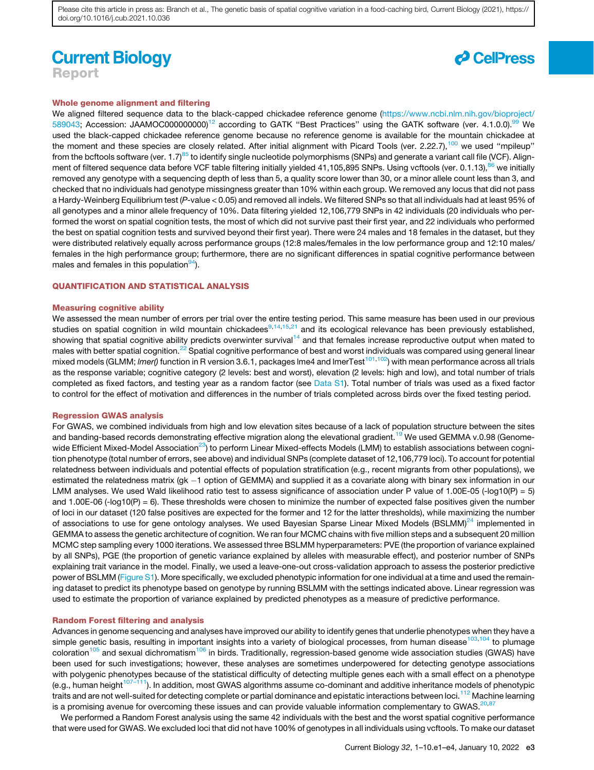### **Current Biology** Report



### Whole genome alignment and filtering

We aligned filtered sequence data to the black-capped chickadee reference genome (https://www.ncbi.nlm.nih.gov/bioproject/ 589043; Accession: JAAMOC000000000<sup>12</sup> according to GATK "Best Practices" using the GATK software (ver. 4.1.0.0).<sup>99</sup> We used the black-capped chickadee reference genome because no reference genome is available for the mountain chickadee at the moment and these species are closely related. After initial alignment with Picard Tools (ver. 2.22.7),<sup>100</sup> we used "mpileup" from the bcftools software (ver. 1.7)<sup>85</sup> to identify single nucleotide polymorphisms (SNPs) and generate a variant call file (VCF). Alignment of filtered sequence data before VCF table filtering initially yielded 41,105,895 SNPs. Using vcftools (ver. 0.1.13),<sup>86</sup> we initially removed any genotype with a sequencing depth of less than 5, a quality score lower than 30, or a minor allele count less than 3, and checked that no individuals had genotype missingness greater than 10% within each group. We removed any locus that did not pass a Hardy-Weinberg Equilibrium test (*P*-value < 0.05) and removed all indels. We filtered SNPs so that all individuals had at least 95% of all genotypes and a minor allele frequency of 10%. Data filtering yielded 12,106,779 SNPs in 42 individuals (20 individuals who performed the worst on spatial cognition tests, the most of which did not survive past their first year, and 22 individuals who performed the best on spatial cognition tests and survived beyond their first year). There were 24 males and 18 females in the dataset, but they were distributed relatively equally across performance groups (12:8 males/females in the low performance group and 12:10 males/ females in the high performance group; furthermore, there are no significant differences in spatial cognitive performance between males and females in this population  $94$ ).

### QUANTIFICATION AND STATISTICAL ANALYSIS

### Measuring cognitive ability

We assessed the mean number of errors per trial over the entire testing period. This same measure has been used in our previous studies on spatial cognition in wild mountain chickadees $9,14,15,21$  and its ecological relevance has been previously established, showing that spatial cognitive ability predicts overwinter survival<sup>14</sup> and that females increase reproductive output when mated to males with better spatial cognition.<sup>22</sup> Spatial cognitive performance of best and worst individuals was compared using general linear mixed models (GLMM; *lmer()* function in R version 3.6.1, packages lme4 and lmerTest<sup>101,102</sup>) with mean performance across all trials as the response variable; cognitive category (2 levels: best and worst), elevation (2 levels: high and low), and total number of trials completed as fixed factors, and testing year as a random factor (see Data S1). Total number of trials was used as a fixed factor to control for the effect of motivation and differences in the number of trials completed across birds over the fixed testing period.

#### Regression GWAS analysis

For GWAS, we combined individuals from high and low elevation sites because of a lack of population structure between the sites and banding-based records demonstrating effective migration along the elevational gradient.<sup>19</sup> We used GEMMA v.0.98 (Genomewide Efficient Mixed-Model Association<sup>23</sup>) to perform Linear Mixed-effects Models (LMM) to establish associations between cognition phenotype (total number of errors, see above) and individual SNPs (complete dataset of 12,106,779 loci). To account for potential relatedness between individuals and potential effects of population stratification (e.g., recent migrants from other populations), we estimated the relatedness matrix (gk -1 option of GEMMA) and supplied it as a covariate along with binary sex information in our LMM analyses. We used Wald likelihood ratio test to assess significance of association under P value of 1.00E-05 (-log10(P) = 5) and 1.00E-06 (- $log10(P) = 6$ ). These thresholds were chosen to minimize the number of expected false positives given the number of loci in our dataset (120 false positives are expected for the former and 12 for the latter thresholds), while maximizing the number of associations to use for gene ontology analyses. We used Bayesian Sparse Linear Mixed Models (BSLMM) $^{24}$  implemented in GEMMA to assess the genetic architecture of cognition. We ran four MCMC chains with five million steps and a subsequent 20 million MCMC step sampling every 1000 iterations. We assessed three BSLMM hyperparameters: PVE (the proportion of variance explained by all SNPs), PGE (the proportion of genetic variance explained by alleles with measurable effect), and posterior number of SNPs explaining trait variance in the model. Finally, we used a leave-one-out cross-validation approach to assess the posterior predictive power of BSLMM (Figure S1). More specifically, we excluded phenotypic information for one individual at a time and used the remaining dataset to predict its phenotype based on genotype by running BSLMM with the settings indicated above. Linear regression was used to estimate the proportion of variance explained by predicted phenotypes as a measure of predictive performance.

### Random Forest filtering and analysis

Advances in genome sequencing and analyses have improved our ability to identify genes that underlie phenotypes when they have a simple genetic basis, resulting in important insights into a variety of biological processes, from human disease<sup>103,104</sup> to plumage coloration<sup>105</sup> and sexual dichromatism<sup>106</sup> in birds. Traditionally, regression-based genome wide association studies (GWAS) have been used for such investigations; however, these analyses are sometimes underpowered for detecting genotype associations with polygenic phenotypes because of the statistical difficulty of detecting multiple genes each with a small effect on a phenotype  $(e.g.,$  human height $107-111$ ). In addition, most GWAS algorithms assume co-dominant and additive inheritance models of phenotypic traits and are not well-suited for detecting complete or partial dominance and epistatic interactions between loci.<sup>112</sup> Machine learning is a promising avenue for overcoming these issues and can provide valuable information complementary to GWAS. $^{20,87}$ 

We performed a Random Forest analysis using the same 42 individuals with the best and the worst spatial cognitive performance that were used for GWAS. We excluded loci that did not have 100% of genotypes in all individuals using vcftools. To make our dataset